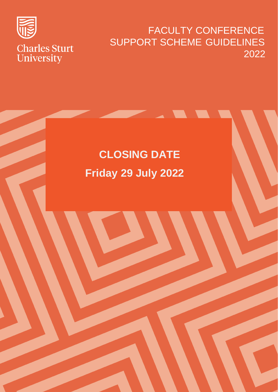

### FACULTY CONFERENCE SUPPORT SCHEME GUIDELINES 2022

# **CLOSING DATE Friday 29 July 2022**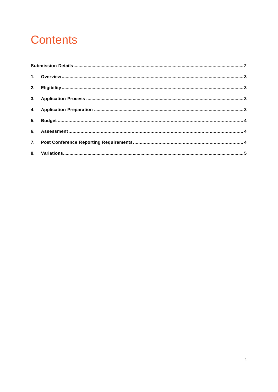## **Contents**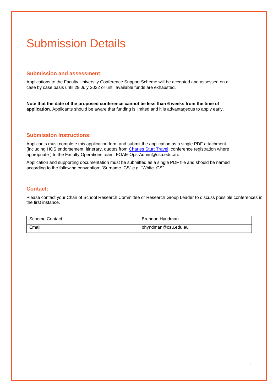### <span id="page-2-0"></span>Submission Details

#### **Submission and assessment:**

Applications to the Faculty University Conference Support Scheme will be accepted and assessed on a case by case basis until 29 July 2022 or until available funds are exhausted.

**Note that the date of the proposed conference cannot be less than 6 weeks from the time of application.** Applicants should be aware that funding is limited and it is advantageous to apply early.

#### **Submission Instructions:**

Applicants must complete this application form and submit the application as a single PDF attachment (including HOS endorsement, itinerary, quotes from [Charles Sturt](https://finance.csu.edu.au/services/travel/approval-booking) Travel, conference registration where appropriate ) to [the F](mailto:pvcri@csu.edu.au)aculty Operations team: [FOAE-Ops-Admin@csu.edu.au.](mailto:FOAE-Ops-Admin@csu.edu.au)

Application and supporting documentation must be submitted as a single PDF file and should be named according to the following convention: "Surname\_CS" e.g. "White\_CS".

#### **Contact:**

Please contact your Chair of School Research Committee or Research Group Leader to discuss possible conferences in the first instance.

| Scheme Contact | Brendon Hvndman     |
|----------------|---------------------|
| Email          | bhyndman@csu.edu.au |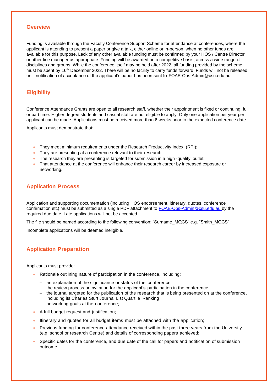#### <span id="page-3-0"></span>**Overview**

Funding is available through the Faculty Conference Support Scheme for attendance at conferences, where the applicant is attending to present a paper or give a talk, either online or in-person, when no other funds are available for this purpose. Lack of any other available funding must be confirmed by your HOS / Centre Director or other line manager as appropriate. Funding will be awarded on a competitive basis, across a wide range of disciplines and groups. While the conference itself may be held after 2022, all funding provided by the scheme must be spent by 16<sup>th</sup> December 2022. There will be no facility to carry funds forward. Funds will not be released until notification of acceptance of the applicant's paper has been sent to [FOAE-Ops-Admin@csu.edu.au.](mailto:FOAE-Ops-Admin@csu.edu.au)

#### <span id="page-3-1"></span>**Eligibility**

Conference Attendance Grants are open to all research staff, whether their appointment is fixed or continuing, full or part time. Higher degree students and casual staff are not eligible to apply. Only one application per year per applicant can be made. Applications must be received more than 6 weeks prior to the expected conference date.

Applicants must demonstrate that:

- They meet minimum requirements under the Research Productivity Index (RPI);
- They are presenting at a conference relevant to their research;
- The research they are presenting is targeted for submission in a high -quality outlet.
- That attendance at the conference will enhance their research career by increased exposure or networking.

#### <span id="page-3-2"></span>**Application Process**

Application and supporting documentation (including HOS endorsement, itinerary, quotes, conference confirmation etc) must be submitted as a single PDF attachment to [FOAE-Ops-Admin@csu.edu.au b](mailto:FOAE-Ops-Admin@csu.edu.au)y the required due date. Late applications will not be accepted.

The file should be named according to the following convention: "Surname\_MQCS" e.g. "Smith\_MQCS"

Incomplete applications will be deemed ineligible.

#### <span id="page-3-3"></span>**Application Preparation**

Applicants must provide:

- Rationale outlining nature of participation in the conference, including:
	- an explanation of the significance or status of the conference
	- the review process or invitation for the applicant's participation in the conference
	- the journal targeted for the publication of the research that is being presented on at the conference, including its Charles Sturt Journal List Quartile Ranking
	- networking goals at the conference;
- A full budget request and justification;
- Itinerary and quotes for all budget items must be attached with the application;
- Previous funding for conference attendance received within the past three years from the University (e.g. school or research Centre) and details of corresponding papers achieved;
- Specific dates for the conference, and due date of the call for papers and notification of submission outcome.